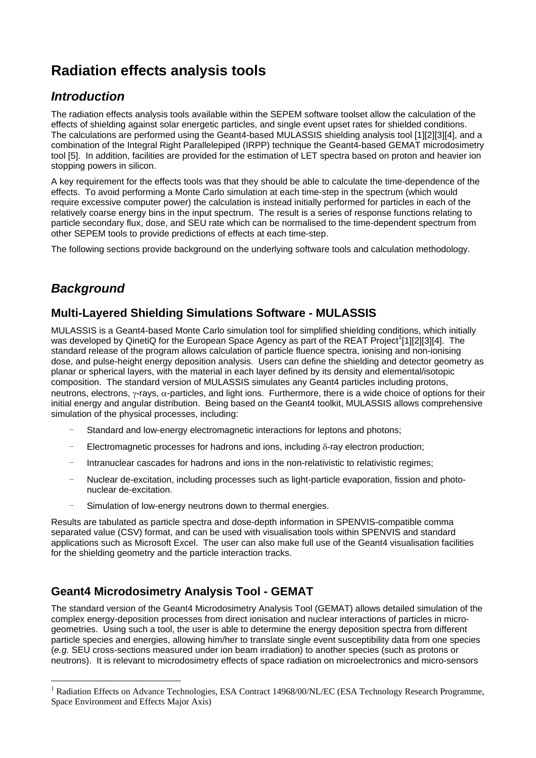# **Radiation effects analysis tools**

## *Introduction*

The radiation effects analysis tools available within the SEPEM software toolset allow the calculation of the effects of shielding against solar energetic particles, and single event upset rates for shielded conditions. The calculations are performed using the Geant4-based MULASSIS shielding analysis tool [1][2][3][4], and a combination of the Integral Right Parallelepiped (IRPP) technique the Geant4-based GEMAT microdosimetry tool [5]. In addition, facilities are provided for the estimation of LET spectra based on proton and heavier ion stopping powers in silicon.

A key requirement for the effects tools was that they should be able to calculate the time-dependence of the effects. To avoid performing a Monte Carlo simulation at each time-step in the spectrum (which would require excessive computer power) the calculation is instead initially performed for particles in each of the relatively coarse energy bins in the input spectrum. The result is a series of response functions relating to particle secondary flux, dose, and SEU rate which can be normalised to the time-dependent spectrum from other SEPEM tools to provide predictions of effects at each time-step.

The following sections provide background on the underlying software tools and calculation methodology.

# *Background*

 $\overline{a}$ 

#### **Multi-Layered Shielding Simulations Software - MULASSIS**

MULASSIS is a Geant4-based Monte Carlo simulation tool for simplified shielding conditions, which initially was developed by QinetiQ for the European Space Agency as part of the REAT Project<sup>1</sup>[1][2][3][4]. The standard release of the program allows calculation of particle fluence spectra, ionising and non-ionising dose, and pulse-height energy deposition analysis. Users can define the shielding and detector geometry as planar or spherical layers, with the material in each layer defined by its density and elemental/isotopic composition. The standard version of MULASSIS simulates any Geant4 particles including protons, neutrons, electrons, γ-rays,  $α$ -particles, and light ions. Furthermore, there is a wide choice of options for their initial energy and angular distribution. Being based on the Geant4 toolkit, MULASSIS allows comprehensive simulation of the physical processes, including:

- Standard and low-energy electromagnetic interactions for leptons and photons;
- $E$ lectromagnetic processes for hadrons and ions, including δ-ray electron production;
- Intranuclear cascades for hadrons and ions in the non-relativistic to relativistic regimes;
- Nuclear de-excitation, including processes such as light-particle evaporation, fission and photonuclear de-excitation.
- Simulation of low-energy neutrons down to thermal energies.

Results are tabulated as particle spectra and dose-depth information in SPENVIS-compatible comma separated value (CSV) format, and can be used with visualisation tools within SPENVIS and standard applications such as Microsoft Excel. The user can also make full use of the Geant4 visualisation facilities for the shielding geometry and the particle interaction tracks.

### **Geant4 Microdosimetry Analysis Tool - GEMAT**

The standard version of the Geant4 Microdosimetry Analysis Tool (GEMAT) allows detailed simulation of the complex energy-deposition processes from direct ionisation and nuclear interactions of particles in microgeometries. Using such a tool, the user is able to determine the energy deposition spectra from different particle species and energies, allowing him/her to translate single event susceptibility data from one species (*e.g.* SEU cross-sections measured under ion beam irradiation) to another species (such as protons or neutrons). It is relevant to microdosimetry effects of space radiation on microelectronics and micro-sensors

<sup>&</sup>lt;sup>1</sup> Radiation Effects on Advance Technologies, ESA Contract 14968/00/NL/EC (ESA Technology Research Programme, Space Environment and Effects Major Axis)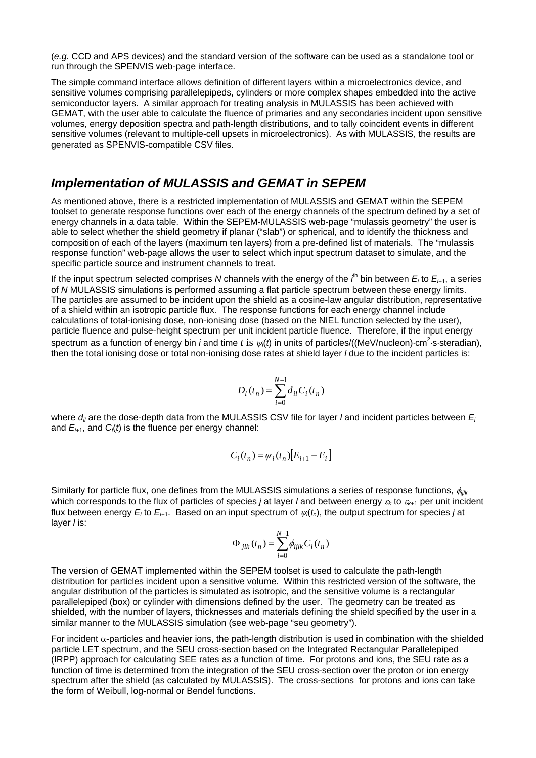(*e.g.* CCD and APS devices) and the standard version of the software can be used as a standalone tool or run through the SPENVIS web-page interface.

The simple command interface allows definition of different layers within a microelectronics device, and sensitive volumes comprising parallelepipeds, cylinders or more complex shapes embedded into the active semiconductor layers. A similar approach for treating analysis in MULASSIS has been achieved with GEMAT, with the user able to calculate the fluence of primaries and any secondaries incident upon sensitive volumes, energy deposition spectra and path-length distributions, and to tally coincident events in different sensitive volumes (relevant to multiple-cell upsets in microelectronics). As with MULASSIS, the results are generated as SPENVIS-compatible CSV files.

#### *Implementation of MULASSIS and GEMAT in SEPEM*

As mentioned above, there is a restricted implementation of MULASSIS and GEMAT within the SEPEM toolset to generate response functions over each of the energy channels of the spectrum defined by a set of energy channels in a data table. Within the SEPEM-MULASSIS web-page "mulassis geometry" the user is able to select whether the shield geometry if planar ("slab") or spherical, and to identify the thickness and composition of each of the layers (maximum ten layers) from a pre-defined list of materials. The "mulassis response function" web-page allows the user to select which input spectrum dataset to simulate, and the specific particle source and instrument channels to treat.

If the input spectrum selected comprises *N* channels with the energy of the *i*<sup>th</sup> bin between *E<sub>i</sub>* to *E<sub>i+1</sub>*, a series of *N* MULASSIS simulations is performed assuming a flat particle spectrum between these energy limits. The particles are assumed to be incident upon the shield as a cosine-law angular distribution, representative of a shield within an isotropic particle flux. The response functions for each energy channel include calculations of total-ionising dose, non-ionising dose (based on the NIEL function selected by the user), particle fluence and pulse-height spectrum per unit incident particle fluence. Therefore, if the input energy spectrum as a function of energy bin *i* and time *t* is  $\psi_i(t)$  in units of particles/((MeV/nucleon)⋅cm<sup>2</sup>⋅s⋅steradian), then the total ionising dose or total non-ionising dose rates at shield layer *l* due to the incident particles is:

$$
D_l(t_n) = \sum_{i=0}^{N-1} d_{il} C_i(t_n)
$$

where  $d_{ii}$  are the dose-depth data from the MULASSIS CSV file for layer *l* and incident particles between  $E_i$ and *Ei*+1, and *Ci* (*t*) is the fluence per energy channel:

$$
C_i(t_n) = \psi_i(t_n) \big[ E_{i+1} - E_i \big]
$$

Similarly for particle flux, one defines from the MULASSIS simulations a series of response functions, φ*ijlk* which corresponds to the flux of particles of species *j* at layer *l* and between energy <sup>ε</sup>*k* to <sup>ε</sup>*k*+1 per unit incident flux between energy  $E_i$  to  $E_{i+1}$ . Based on an input spectrum of  $\psi_i(t_n)$ , the output spectrum for species *j* at layer *l* is:

$$
\Phi_{jlk}(t_n) = \sum_{i=0}^{N-1} \phi_{ijlk} C_i(t_n)
$$

The version of GEMAT implemented within the SEPEM toolset is used to calculate the path-length distribution for particles incident upon a sensitive volume. Within this restricted version of the software, the angular distribution of the particles is simulated as isotropic, and the sensitive volume is a rectangular parallelepiped (box) or cylinder with dimensions defined by the user. The geometry can be treated as shielded, with the number of layers, thicknesses and materials defining the shield specified by the user in a similar manner to the MULASSIS simulation (see web-page "seu geometry").

For incident  $\alpha$ -particles and heavier ions, the path-length distribution is used in combination with the shielded particle LET spectrum, and the SEU cross-section based on the Integrated Rectangular Parallelepiped (IRPP) approach for calculating SEE rates as a function of time. For protons and ions, the SEU rate as a function of time is determined from the integration of the SEU cross-section over the proton or ion energy spectrum after the shield (as calculated by MULASSIS). The cross-sections for protons and ions can take the form of Weibull, log-normal or Bendel functions.